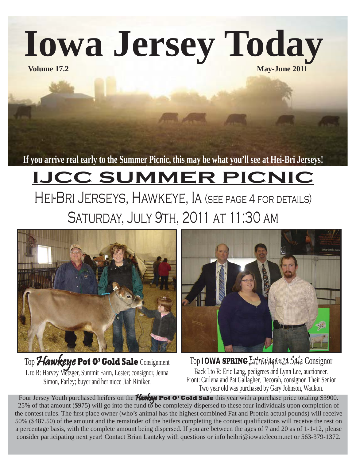**Iowa Jersey Today**

**Volume 17.2** May-June 2011

**If you arrive real early to the Summer Picnic, this may be what you'll see at Hei-Bri Jerseys!**

## **IJCC SUMMER PICNIC** Hei-Bri Jerseys, Hawkeye, Ia (see page 4 for details)

Saturday, July 9th, 2011 at 11:30 am



Top Hawkeye Pot O' Gold Sale Consignment L to R: Harvey Metzger, Summit Farm, Lester; consignor, Jenna Simon, Farley; buyer and her niece Jiah Riniker.



Top **IOWA** SPRING Extravaganza Sale Consignor Back Lto R: Eric Lang, pedigrees and Lynn Lee, auctioneer. Front: Carlena and Pat Gallagher, Decorah, consignor. Their Senior Two year old was purchased by Gary Johnson, Waukon.

Four Jersey Youth purchased heifers on the **Hawkeye Pot O' Gold Sale** this year with a purchase price totaling \$3900. 25% of that amount (\$975) will go into the fund to be completely dispersed to these four individuals upon completion of the contest rules. The first place owner (who's animal has the highest combined Fat and Protein actual pounds) will receive 50% (\$487.50) of the amount and the remainder of the heifers completing the contest qualifications will receive the rest on a percentage basis, with the complete amount being dispersed. If you are between the ages of 7 and 20 as of 1-1-12, please consider participating next year! Contact Brian Lantzky with questions or info heibri@iowatelecom.net or 563-379-1372.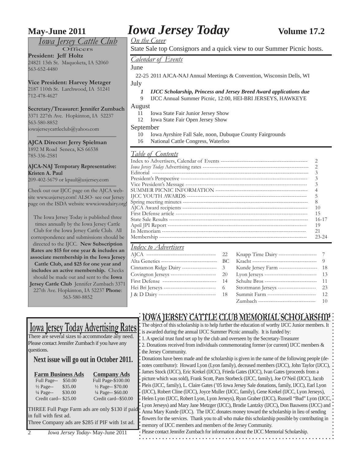### *Iowa Jersey Cattle Club*

Officers

**President: Jeff Holtz** 24821 13th St. Maquoketa, IA 52060 563-652-4480

**Vice President: Harvey Metzger** 2187 110th St. Larchwood, IA 51241 712-478-4627

### **Secretary/Treasurer: Jennifer Zumbach**

3371 227th Ave. Hopkinton, IA 52237 563-580-8852 iowajerseycattleclub@yahoo.com

**AJCA Director: Jerry Spielman** 1892 M Road Seneca, KS 66538 785-336-2581

**AJCA-NAJ Temporary Representative: Kristen A. Paul**

209-402-5679 or kpaul@usjersey.com

Check out our IJCC page on the AJCA website www.usjersey.com! ALSO- see our Jersey page on the ISDA website www.iowadairy.org!

The Iowa Jersey Today is published three times annually by the Iowa Jersey Cattle Club for the Iowa Jersey Cattle Club. All correspondence and submissions should be directed to the IJCC. **New Subscription Rates are \$15 for one year & includes an associate membership in the Iowa Jersey Cattle Club, and \$25 for one year and includes an active membership.** Checks should be made out and sent to the **Iowa Jersey Cattle Club** Jennifer Zumbach 3371 227th Ave. Hopkinton, IA 52237 **Phone**:

563-580-8852

## **May-June 2011** *Iowa Jersey Today* **<b>Volume 17.2**

*On the Cover*

State Sale top Consignors and a quick view to our Summer Picnic hosts.

*Calendar of Events*

June

 22-25 2011 AJCA-NAJ Annual Meetings & Convention, Wisconsin Dells, WI July

- *1 IJCC Scholarship, Princess and Jersey Breed Award applications due*
- 9 IJCC Annual Summer Picnic, 12:00, HEI-BRI JERSEYS, HAWKEYE

August

- 11 Iowa State Fair Junior Jersey Show
- 12 Iowa State Fair Open Jersey Show

September

- 10 Iowa Ayrshire Fall Sale, noon, Dubuque County Fairgrounds
- 16 National Cattle Congress, Waterloo

### *Table of Contents*

| 8         |
|-----------|
| 10        |
| 15        |
| 16-17     |
| 19        |
| 21        |
| $23 - 24$ |
|           |

### *Index to Advertisers*

|                                                   | 22  |                                              |     |
|---------------------------------------------------|-----|----------------------------------------------|-----|
| Alta Genetics ----------------------------------  | BC. |                                              |     |
| Cinnamon Ridge Dairy --------------------- 3      |     | Kunde Jersey Farm -----------------------    | -18 |
| Covington Jerseys ---------------------------- 20 |     | Lyon Jerseys ------------------------------- | -13 |
| First Defense ------------------------------- 14  |     | Schulte Bros ------------------------------- | 11  |
|                                                   |     | Strottmann Jerseys ----------------------    | 23  |
| J & D Dairy ----------------------------------    | 18  | Summit Farm -----------------------------    | 12  |
|                                                   |     | Zumbach ---------------------------------    | 10  |

### **IOWA JERSEY CATTLE CLUB MEMORIAL SCHOLARSHIP**

|                                                                           |                              | <u>10 1111   ANGEL GIN 122 GEOS NAMNO NIME CON O ANNO 1211</u>                                                                                                                                                                                                                                                                                                                                                |  |  |  |  |  |  |  |
|---------------------------------------------------------------------------|------------------------------|---------------------------------------------------------------------------------------------------------------------------------------------------------------------------------------------------------------------------------------------------------------------------------------------------------------------------------------------------------------------------------------------------------------|--|--|--|--|--|--|--|
|                                                                           |                              | <u>Iowa Jersey Today Advertising Rates</u> : The object of this scholarship is to help further the education of worthy IJCC Junior members. It                                                                                                                                                                                                                                                                |  |  |  |  |  |  |  |
|                                                                           |                              | is awarded during the annual IJCC Summer Picnic annually. It is funded by:                                                                                                                                                                                                                                                                                                                                    |  |  |  |  |  |  |  |
| There are several sizes to accommodate any need.                          |                              | .1. A special trust fund set up by the club and overseen by the Secretary-Treasurer                                                                                                                                                                                                                                                                                                                           |  |  |  |  |  |  |  |
| Please contact Jennifer Zumbach if you have any<br>questions.             |                              | $\ddagger$ 2. Donations received from individuals commemorating former (or current) IJCC members &                                                                                                                                                                                                                                                                                                            |  |  |  |  |  |  |  |
|                                                                           |                              | the Jersey Community.                                                                                                                                                                                                                                                                                                                                                                                         |  |  |  |  |  |  |  |
| Next issue will go out in October 2011.                                   |                              | . Donations have been made and the scholarship is given in the name of the following people (de-                                                                                                                                                                                                                                                                                                              |  |  |  |  |  |  |  |
|                                                                           |                              | notes contributor): Howard Lyon (Lyon family), deceased members (IJCC), John Taylor (IJCC),                                                                                                                                                                                                                                                                                                                   |  |  |  |  |  |  |  |
| <b>Farm Business Ads</b>                                                  | <b>Company Ads</b>           | : James Stock (IJCC), Eric Krekel (IJCC), Frieda Gates (IJCC), Ivan Gates (proceeds from a                                                                                                                                                                                                                                                                                                                    |  |  |  |  |  |  |  |
| Full Page--<br>\$50.00                                                    | Full Page-\$100.00           | ; picture which was sold), Frank Scott, Pam Storbeck (IJCC, family), Joe O'Neil (IJCC), Jacob                                                                                                                                                                                                                                                                                                                 |  |  |  |  |  |  |  |
| \$35.00<br>$\frac{1}{2}$ Page--                                           | 1/2 Page-- \$70.00           | Pleis (IJCC, family), L. Claire Gates ('05 Iowa Jersey Sale donations, family, IJCC), Earl Lyon                                                                                                                                                                                                                                                                                                               |  |  |  |  |  |  |  |
| $\frac{1}{4}$ Page--<br>\$30.00                                           | $\frac{1}{4}$ Page-- \$60.00 | : (IJCC), Robert Cline (IJCC), Joyce Muller (IJCC, family), Gene Krekel (IJCC, Lyon Jerseys),                                                                                                                                                                                                                                                                                                                 |  |  |  |  |  |  |  |
| Credit card-- \$25.00                                                     | Credit card--\$50.00         | : Helen Lyon (IJCC, Robert Lyon, Lyon Jerseys), Ryan Graber (IJCC), Russell "Bud" Lyon (IJCC,                                                                                                                                                                                                                                                                                                                 |  |  |  |  |  |  |  |
| in full with first ad.<br>Three Company ads are \$285 if PIF with 1st ad. |                              | : Lyon Jerseys) and Mary Jane Metzger (IJCC), Brodie Lantzky (IJCC), Don Bauwens (IJCC) and<br>THREE Full Page Farm ads are only \$130 if paid: Anna Mary Kunde (IJCC). The IJCC donates money toward the scholarship in lieu of sending<br>: flowers for the services. Thank you to all who make this scholarship possible by contributing in<br>memory of IJCC members and members of the Jersey Community. |  |  |  |  |  |  |  |
| Iowa Jersey Today- May-June 2011                                          |                              | Please contact Jennifer Zumbach for information about the IJCC Memorial Scholarship.                                                                                                                                                                                                                                                                                                                          |  |  |  |  |  |  |  |
|                                                                           |                              |                                                                                                                                                                                                                                                                                                                                                                                                               |  |  |  |  |  |  |  |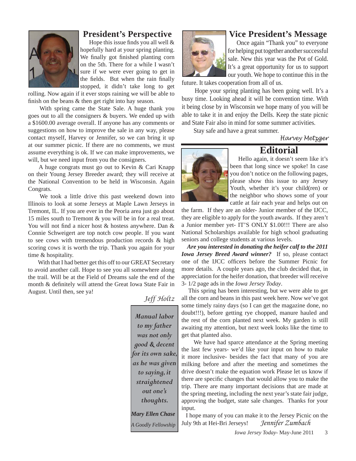

### **President's Perspective**

Hope this issue finds you all well  $\&$ hopefully hard at your spring planting. We finally got finished planting corn on the 5th. There for a while I wasn't sure if we were ever going to get in the fields. But when the rain finally stopped, it didn't take long to get

rolling. Now again if it ever stops raining we will be able to finish on the beans  $&$  then get right into hay season.

 With spring came the State Sale. A huge thank you goes out to all the consigners & buyers. We ended up with a \$1600.00 average overall. If anyone has any comments or suggestions on how to improve the sale in any way, please contact myself, Harvey or Jennifer, so we can bring it up at our summer picnic. If there are no comments, we must assume everything is ok. If we can make improvements, we will, but we need input from you the consigners.

 A huge congrats must go out to Kevin & Cari Knapp on their Young Jersey Breeder award; they will receive at the National Convention to be held in Wisconsin. Again Congrats.

 We took a little drive this past weekend down into Illinois to look at some Jerseys at Maple Lawn Jerseys in Tremont, IL. If you are ever in the Peoria area just go about 15 miles south to Tremont & you will be in for a real treat. You will not find a nicer host  $\&$  hostess anywhere. Dan  $\&$ Connie Schweigert are top notch cow people. If you want to see cows with tremendous production records & high scoring cows it is worth the trip. Thank you again for your time & hospitality.

 With that I had better get this off to our GREAT Secretary to avoid another call. Hope to see you all somewhere along the trail. Will be at the Field of Dreams sale the end of the month  $\&$  definitely will attend the Great Iowa State Fair in August. Until then, see ya!

> *Manual labor to my father was not only good & decent for its own sake, as he was given to saying, it straightened out one's thoughts. Mary Ellen Chase A Goodly Fellowship*

*Jeff Holtz*



### **Vice President's Message**

Once again "Thank you" to everyone for helping put together another successful sale. New this year was the Pot of Gold. It's a great opportunity for us to support our youth. We hope to continue this in the

future. It takes cooperation from all of us.

 Hope your spring planting has been going well. It's a busy time. Looking ahead it will be convention time. With it being close by in Wisconsin we hope many of you will be able to take it in and enjoy the Dells. Keep the state picnic and State Fair also in mind for some summer activities.

Stay safe and have a great summer.

*Harvey Metzger*



### **Editorial**

 Hello again, it doesn't seem like it's been that long since we spoke! In case you don't notice on the following pages, please show this issue to any Jersey Youth, whether it's your child(ren) or the neighbor who shows some of your cattle at fair each year and helps out on

the farm. If they are an older- Junior member of the IJCC, they are eligible to apply for the youth awards. If they aren't a Junior member yet- IT'S ONLY \$1.00!!! There are also National Scholarships available for high school graduating seniors and college students at various levels.

 *Are you interested in donating the heifer calf to the 2011 Iowa Jersey Breed Award winner?* If so, please contact one of the IJCC officers before the Summer Picnic for more details. A couple years ago, the club decided that, in appreciation for the heifer donation, that breeder will receive 3- 1/2 page ads in the *Iowa Jersey Today*.

 This spring has been interesting, but we were able to get all the corn and beans in this past week here. Now we've got some timely rainy days (so I can get the magazine done, no doubt!!!), before getting rye chopped, manure hauled and the rest of the corn planted next week. My garden is still awaiting my attention, but next week looks like the time to get that planted also.

 We have had sparce attendance at the Spring meeting the last few years- we'd like your input on how to make it more inclusive- besides the fact that many of you are milking before and after the meeting and sometimes the drive doesn't make the equation work Please let us know if there are specific changes that would allow you to make the trip. There are many important decisions that are made at the spring meeting, including the next year's state fair judge, approving the budget, state sale changes. Thanks for your input.

 I hope many of you can make it to the Jersey Picnic on the July 9th at Hei-Bri Jerseys! *Jennifer Zumbach*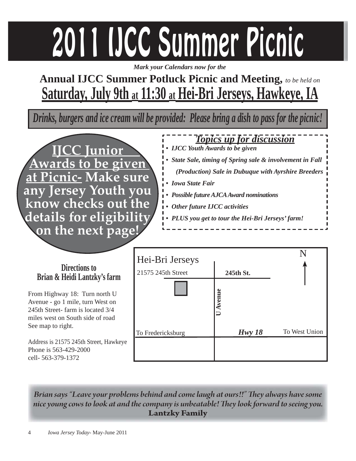# 2011 IJCC Summer Picnic

*Mark your Calendars now for the*

## **Annual IJCC Summer Potluck Picnic and Meeting,** *to be held on* **Saturday, July 9th at 11:30 at Hei-Bri Jerseys, Hawkeye, IA**

*Drinks, burgers and ice cream will be provided: Please bring a dish to pass for the picnic!*



*Topics up for discussion • IJCC Youth Awards to be given • State Sale, timing of Spring sale & involvement in Fall (Production) Sale in Dubuque with Ayrshire Breeders • Iowa State Fair • Possible future AJCA Award nominations • Other future IJCC activities • PLUS you get to tour the Hei-Bri Jerseys' farm!*

| Directions to<br>Brian & Heidi Lantzky's farm                                                                                             | Hei-Bri Jerseys<br>21575 245th Street | 245th St. | N             |  |  |
|-------------------------------------------------------------------------------------------------------------------------------------------|---------------------------------------|-----------|---------------|--|--|
| From Highway 18: Turn north U<br>Avenue - go 1 mile, turn West on<br>245th Street-farm is located 3/4<br>miles west on South side of road |                                       | venue     |               |  |  |
| See map to right.                                                                                                                         | To Fredericksburg                     | Hwy18     | To West Union |  |  |
| Address is 21575 245th Street, Hawkeye<br>Phone is 563-429-2000<br>cell- 563-379-1372                                                     |                                       |           |               |  |  |

*Brian says "Leave your problems behind and come laugh at ours!!" They always have some* nice young cows to look at and the company is unbeatable! They look forward to seeing you. **Lantzky Family**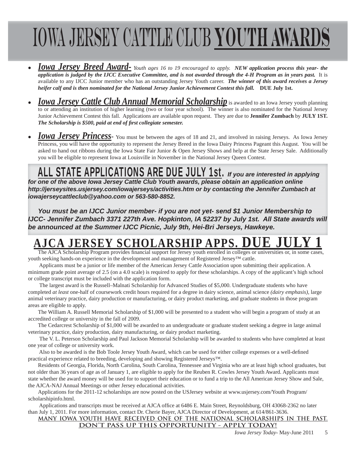## Iowa Jersey Cattle Club **Youth Awards**

- *Iowa Jersey Breed Award- Youth ages 16 to 19 encouraged to apply. NEW application process this year- the application is judged by the IJCC Executive Committee, and is not awarded through the 4-H Program as in years past.* It is available to any IJCC Junior member who has an outstanding Jersey Youth career. *The winner of this award receives a Jersey heifer calf and is then nominated for the National Jersey Junior Achievement Contest this fall.* **DUE July 1st.**
- *Iowa Jersey Cattle Club Annual Memorial Scholarship is awarded to an Iowa Jersey youth planning* to or attending an institution of higher learning (two or four year school). The winner is also nominated for the National Jersey Junior Achievement Contest this fall. Applications are available upon request. They are due to **Jennifer Zumbach** by **JULY 1ST.** *The Scholarship is \$500, paid at end of first collegiate semester.*
- **Iowa Jersey Princess** You must be between the ages of 18 and 21, and involved in raising Jerseys. As Iowa Jersey Princess, you will have the opportunity to represent the Jersey Breed in the Iowa Dairy Princess Pageant this August. You will be asked to hand out ribbons during the Iowa State Fair Junior & Open Jersey Shows and help at the State Jersey Sale. Additionally you will be eligible to represent Iowa at Louisville in November in the National Jersey Queen Contest.

### ALL STATE APPLICATIONS ARE DUE JULY 1st. *If you are interested in applying*

*for one of the above Iowa Jersey Cattle Club Youth awards, please obtain an application online http://jerseysites.usjersey.com/iowajerseys/activities.htm or by contacting the Jennifer Zumbach at iowajerseycattleclub@yahoo.com or 563-580-8852.* 

*You must be an IJCC Junior member- if you are not yet- send \$1 Junior Membership to IJCC- Jennifer Zumbach 3371 227th Ave. Hopkinton, IA 52237 by July 1st. All State awards will be announced at the Summer IJCC Picnic, July 9th, Hei-Bri Jerseys, Hawkeye.*

## **AJERSEY SCHOLARSHIP APPS.**

The AJCA Scholarship Program provides financial support for Jersey youth enrolled in colleges or universities or, in some cases, youth seeking hands-on experience in the development and management of Registered Jersey™ cattle.

 Applicants must be a junior or life member of the American Jersey Cattle Association upon submitting their application. A minimum grade point average of 2.5 (on a 4.0 scale) is required to apply for these scholarships. A copy of the applicant's high school or college transcript must be included with the application form.

 The largest award is the Russell–Malnati Scholarship for Advanced Studies of \$5,000. Undergraduate students who have completed *at least* one-half of coursework credit hours required for a degree in dairy science, animal science *(dairy emphasis)*, large animal veterinary practice, dairy production or manufacturing, or dairy product marketing, and graduate students in those program areas are eligible to apply.

The William A. Russell Memorial Scholarship of \$1,000 will be presented to a student who will begin a program of study at an accredited college or university in the fall of 2009.

The Cedarcrest Scholarship of \$1,000 will be awarded to an undergraduate or graduate student seeking a degree in large animal veterinary practice, dairy production, dairy manufacturing, or dairy product marketing.

 The V. L. Peterson Scholarship and Paul Jackson Memorial Scholarship will be awarded to students who have completed at least one year of college or university work.

Also to be awarded is the Bob Toole Jersey Youth Award, which can be used for either college expenses or a well-defined practical experience related to breeding, developing and showing Registered Jerseys™.

Residents of Georgia, Florida, North Carolina, South Carolina, Tennessee and Virginia who are at least high school graduates, but not older than 36 years of age as of January 1, are eligible to apply for the Reuben R. Cowles Jersey Youth Award. Applicants must state whether the award money will be used for to support their education or to fund a trip to the All American Jersey Show and Sale, the AJCA-NAJ Annual Meetings or other Jersey educational activities.

Applications for the 2011-12 scholarships are now posted on the USJersey website at www.usjersey.com/Youth Program/ scholarshipinfo.html.

Applications and transcripts must be received at AJCA office at 6486 E. Main Street, Reynoldsburg, OH 43068-2362 no later than July 1, 2011. For more information, contact Dr. Cherie Bayer, AJCA Director of Development, at 614/861-3636.

#### **MANY IOWA YOUTH HAVE RECEIVED ONE OF THE NATIONAL SCHOLARSHIPS IN THE PAST. DON'T PASS UP THIS OPPORTUNITY - APPLY TODAY!**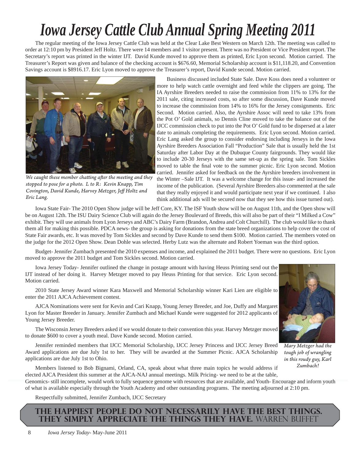## *Iowa Jersey Cattle Club Annual Spring Meeting 2011*

The regular meeting of the Iowa Jersey Cattle Club was held at the Clear Lake Best Western on March 12th. The meeting was called to order at 12:10 pm by President Jeff Holtz. There were 14 members and 1 visitor present. There was no President or Vice President report. The Secretary's report was printed in the winter IJT. David Kunde moved to approve them as printed, Eric Lyon second. Motion carried. The Treasurer's Report was given and balance of the checking account is \$676.60, Memorial Scholarship account is \$11,118.20, and Convention Savings account is \$8916.17. Eric Lyon moved to approve the Treasurer's report, David Kunde second. Motion carried.



*We caught these member chatting after the meeting and they stopped to pose for a photo. L to R: Kevin Knapp, Tim Covington, David Kunde, Harvey Metzger, Jeff Holtz and Eric Lang.*

Business discussed included State Sale. Dave Koss does need a volunteer or more to help watch cattle overnight and feed while the clippers are going. The IA Ayrshire Breeders needed to raise the commission from 11% to 13% for the 2011 sale, citing increased costs, so after some discussion, Dave Kunde moved to increase the commission from 14% to 16% for the Jersey consignments. Eric Second. Motion carried. Also, the Ayrshire Assoc will need to take 13% from the Pot O' Gold animals, so Dennis Cline moved to take the balance out of the IJCC commission check to put into the Pot O' Gold fund to be dispersed at a later date to animals completing the requirements. Eric Lyon second. Motion carried. Eric Lang asked the group to consider endorsing including Jerseys in the Iowa Ayrshire Breeders Association Fall "Production" Sale that is usually held the 1st Saturday after Labor Day at the Dubuque County fairgrounds. They would like to include 20-30 Jerseys with the same set-up as the spring sale. Tom Sickles moved to table the final vote to the summer picnic. Eric Lyon second. Motion carried. Jennifer asked for feedback on the the Ayrshire breeders involvement in the Winter –Sale IJT. It was a welcome change for this issue- and increased the income of the publication. (Several Ayrshire Breeders also commented at the sale that they really enjoyed it and would participate next year if we continued. I also think additional ads will be secured now that they see how this issue turned out).

Iowa State Fair- The 2010 Open Show judge will be Jeff Core, KY. The ISF Youth show will be on August 11th, and the Open show will be on August 12th. The ISU Dairy Science Club will again do the Jersey Boulevard of Breeds, this will also be part of their "I Milked a Cow" exhibit. They will use animals from Lyon Jerseys and ABC's Dairy Farm (Brandon, Andrea and Colt Churchill). The club would like to thank them all for making this possible. PDCA news- the group is asking for donations from the state breed organizations to help cover the cost of State Fair awards, etc. It was moved by Tom Sickles and second by Dave Kunde to send them \$100. Motion carried. The members voted on the judge for the 2012 Open Show. Dean Dohle was selected. Herby Lutz was the alternate and Robert Yoeman was the third option.

Budget- Jennifer Zumbach presented the 2010 expenses and income, and explained the 2011 budget. There were no questions. Eric Lyon moved to approve the 2011 budget and Tom Sickles second. Motion carried.

Iowa Jersey Today- Jennifer outlined the change in postage amount with having Heuss Printing send out the IJT instead of her doing it. Harvey Metzger moved to pay Heuss Printing for that service. Eric Lyon second. Motion carried.

2010 State Jersey Award winner Kara Maxwell and Memorial Scholarship winner Kari Lien are eligible to enter the 2011 AJCA Achievement contest.

AJCA Nominations were sent for Kevin and Cari Knapp, Young Jersey Breeder, and Joe, Duffy and Margaret Lyon for Master Breeder in January. Jennifer Zumbach and Michael Kunde were suggested for 2012 applicants of Young Jersey Breeder.

The Wisconsin Jersey Breeders asked if we would donate to their convention this year. Harvey Metzger moved to donate \$600 to cover a youth meal. Dave Kunde second. Motion carried.

Jennifer reminded members that IJCC Memorial Scholarship, IJCC Jersey Princess and IJCC Jersey Breed Award applications are due July 1st to her. They will be awarded at the Summer Picnic. AJCA Scholarship applications are due July 1st to Ohio.



*Mary Metzger had the tough job of wrangling in this roudy guy, Karl Zumbach!*

Members listened to Bob Bignami, Orland, CA, speak about what three main topics he would address if elected AJCA President this summer at the AJCA-NAJ annual meetings. Milk Pricing- we need to be at the table, Genomics- still incomplete, would work to fully sequence genome with resources that are available, and Youth- Encourage and inform youth of what is available especially through the Youth Academy and other outstanding programs. The meeting adjourned at 2:10 pm.

Respectfully submitted, Jennifer Zumbach, IJCC Secretary

### **The happiest people do not necessarily have the best things. They simply appreciate the things they have.** Warren Buffet

8 *Iowa Jersey Today*- May-June 2011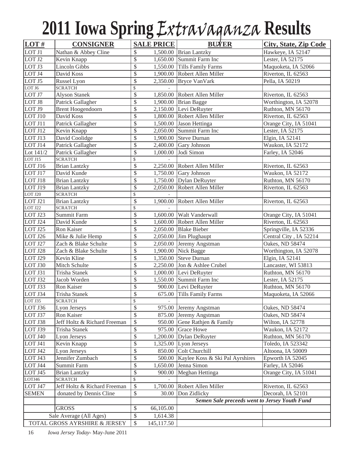## **2011 Iowa Spring** Extravaganza **Results**

| LOT#               | <b>CONSIGNER</b>                             | <b>SALE PRICE</b>     |            | <b>BUYER</b>                                    | <b>City, State, Zip Code</b>                |  |  |
|--------------------|----------------------------------------------|-----------------------|------------|-------------------------------------------------|---------------------------------------------|--|--|
| LOT J1             | Nathan & Abbey Cline                         | \$                    |            | 1,500.00 Brian Lantzky                          | Hawkeye, IA 52147                           |  |  |
| LOT J2             | Kevin Knapp                                  | \$                    |            | 1,650.00 Summit Farm Inc                        | Lester, IA 52175                            |  |  |
| LOT J3             | <b>Lincoln Gibbs</b>                         | \$                    |            | 1,550.00 Tills Family Farms                     | Maquoketa, IA 52066                         |  |  |
| LOT J4             | David Koss                                   | \$                    |            | 1,900.00 Robert Allen Miller                    | Riverton, IL 62563                          |  |  |
| LOT J5             | Russel Lyon                                  | \$                    |            | 2,350.00 Bryce VanVark                          | Pella, IA 50219                             |  |  |
| LOT J6             | <b>SCRATCH</b>                               | $\mathbb{S}$          |            |                                                 |                                             |  |  |
| LOT J7             | <b>Alyson Stanek</b>                         | \$                    |            | 1,850.00 Robert Allen Miller                    | Riverton, IL 62563                          |  |  |
| LOT J8             | Patrick Gallagher                            | \$                    |            | 1,900.00 Brian Bagge                            | Worthington, IA 52078                       |  |  |
| LOT J9             | <b>Brent Hoogendoorn</b>                     | \$                    |            | 2,150.00 Levi DeRuyter                          | Ruthton, MN 56170                           |  |  |
| LOT J10            | David Koss                                   | \$                    |            | 1,800.00 Robert Allen Miller                    | Riverton, IL 62563                          |  |  |
| LOT J11            | Patrick Gallagher                            | \$                    |            | 1,500.00 Jason Hettinga                         | Orange City, IA 51041                       |  |  |
| LOT J12            | Kevin Knapp                                  | $\overline{\$}$       |            | 2,050.00 Summit Farm Inc                        | Lester, IA 52175                            |  |  |
| LOT J13            | David Coolidge                               | $\overline{\$}$       |            | 1,900.00 Steve Durnan                           | Elgin, IA 52141                             |  |  |
| LOT J14            | Patrick Gallagher                            | \$                    |            | $2,400.00$ Gary Johnson                         | Waukon, IA 52172                            |  |  |
| Lot $141/2$        | Patrick Gallagher                            | \$                    |            | 1,000.00 Jodi Simon                             | Farley, IA 52046                            |  |  |
| LOT J15            | <b>SCRATCH</b>                               | \$                    |            |                                                 |                                             |  |  |
| LOT J16            | <b>Brian Lantzky</b>                         | $\overline{\$}$       |            | 2,250.00 Robert Allen Miller                    | Riverton, IL 62563                          |  |  |
| LOT J17            | David Kunde                                  | \$                    |            | $1,750.00$ Gary Johnson                         | Waukon, IA 52172                            |  |  |
| LOT J18            | <b>Brian Lantzky</b>                         | \$                    |            | 1,750.00 Dylan DeRuyter                         | Ruthton, MN 56170                           |  |  |
| <b>LOT J19</b>     | <b>Brian Lantzky</b>                         | \$                    |            | 2,050.00 Robert Allen Miller                    | Riverton, IL 62563                          |  |  |
| $LOT$ J20          | <b>SCRATCH</b>                               | $\mathbb{S}$          |            |                                                 |                                             |  |  |
| LOT J21            | <b>Brian Lantzky</b>                         | \$                    |            | 1,900.00 Robert Allen Miller                    | Riverton, IL 62563                          |  |  |
| LOT J22<br>LOT J23 | <b>SCRATCH</b><br>Summit Farm                | \$<br>$\overline{\$}$ |            | 1,600.00 Walt Vanderwall                        |                                             |  |  |
|                    | David Kunde                                  | \$                    |            | 1,600.00 Robert Allen Miller                    | Orange City, IA 51041<br>Riverton, IL 62563 |  |  |
| LOT J24<br>LOT J25 | Ron Kaiser                                   | \$                    |            | 2,050.00 Blake Bieber                           |                                             |  |  |
|                    |                                              | \$                    |            |                                                 | Springville, IA 52336                       |  |  |
| LOT J26<br>LOT J27 | Mike & Julie Hemp                            | \$                    |            | 2,050.00 Jim Plughaupt                          | Central City, IA 52214                      |  |  |
| LOT J28            | Zach & Blake Schulte<br>Zach & Blake Schulte | $\overline{\$}$       |            | 2,050.00 Jeremy Angstman<br>1,900.00 Nick Bagge | Oakes, ND 58474<br>Worthington, IA 52078    |  |  |
| LOT J29            | Kevin Kline                                  | \$                    |            | 1,350.00 Steve Durnan                           | Elgin, IA 52141                             |  |  |
| LOT J30            | Mitch Schulte                                | \$                    |            | 2,250.00 Jon & Ashlee Crubel                    | Lancaster, WI 53813                         |  |  |
| LOT J31            | <b>Trisha Stanek</b>                         | $\overline{\$}$       |            | 1,000.00 Levi DeRuyter                          | Ruthton, MN 56170                           |  |  |
| LOT J32            | Jacob Worden                                 | \$                    |            | 1,550.00 Summit Farm Inc                        | Lester, IA 52175                            |  |  |
| LOT J33            | Ron Kaiser                                   | \$                    |            | 900.00 Levi DeRuyter                            | Ruthton, MN 56170                           |  |  |
| LOT J34            | Trisha Stanek                                | \$                    |            | 675.00 Tills Family Farms                       | Maquoketa, IA 52066                         |  |  |
| LOT J35            | <b>SCRATCH</b>                               | $\overline{\$}$       |            |                                                 |                                             |  |  |
| LOT J36            | Lyon Jerseys                                 | \$                    |            | 975.00 Jeremy Angstman                          | Oakes, ND 58474                             |  |  |
| LOT J37            | Ron Kaiser                                   | \$                    | 875.00     | Jeremy Angstman                                 | Oakes, ND 58474                             |  |  |
| LOT J38            | Jeff Holtz & Richard Freeman                 | \$                    | 950.00     | Gene Rathjen & Family                           | Wilton, IA 52778                            |  |  |
| LOT J39            | Trisha Stanek                                | \$                    | 975.00     | <b>Grace Howe</b>                               | Waukon, IA 52172                            |  |  |
| LOT J40            | Lyon Jerseys                                 | \$                    |            | 1,200.00 Dylan DeRuyter                         | Ruthton, MN 56170                           |  |  |
| LOT J41            | Kevin Knapp                                  | \$                    |            | 1,325.00 Lyon Jerseys                           | Toledo, IA 523342                           |  |  |
| LOT J42            | Lyon Jerseys                                 | \$                    |            | 850.00 Colt Churchill                           | Altoona, IA 50009                           |  |  |
| LOT J43            | Jennifer Zumbach                             | \$                    |            | 500.00 Kaylee Koss & Ski Pal Ayrshires          | Epworth IA 52045                            |  |  |
| LOT J44            | Summit Farm                                  | \$                    | 1,650.00   | Jenna Simon                                     | Farley, IA 52046                            |  |  |
| LOT J45            | <b>Brian Lantzky</b>                         | \$                    | 900.00     | Meghan Hettinga                                 | Orange City, IA 51041                       |  |  |
| LOTJ46             | <b>SCRATCH</b>                               | \$                    |            |                                                 |                                             |  |  |
| LOT J47            | Jeff Holtz & Richard Freeman                 | \$                    | 1,700.00   | Robert Allen Miller                             | Riverton, IL 62563                          |  |  |
| <b>SEMEN</b>       | donated by Dennis Cline                      | \$                    | 30.00      | Don Zidlicky                                    | Decorah, IA 52101                           |  |  |
|                    |                                              |                       |            | Semen Sale preceeds went to Jersey Youth Fund   |                                             |  |  |
|                    | <b>GROSS</b>                                 | \$                    | 66,105.00  |                                                 |                                             |  |  |
|                    | Sale Average (All Ages)                      | \$                    | 1,614.38   |                                                 |                                             |  |  |
|                    | TOTAL GROSS AYRSHIRE & JERSEY                | \$                    | 145,117.50 |                                                 |                                             |  |  |

16 *Iowa Jersey Today*- May-June 2011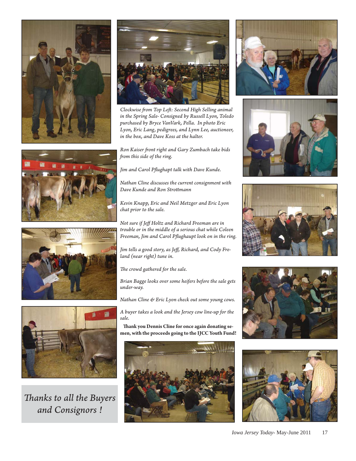







*Th anks to all the Buyers and Consignors !*



*Clockwise from Top Left: Second High Selling animal in the Spring Sale- Consigned by Russell Lyon, Toledo purchased by Bryce VanVark, Pella. In photo Eric Lyon, Eric Lang, pedigrees, and Lynn Lee, auctioneer, in the box, and Dave Koss at the halter.*

*Ron Kaiser fr ont right and Gary Zumbach take bids from this side of the ring.* 

Jim and Carol Pflughapt talk with Dave Kunde.

*Nathan Cline discusses the current consignment with Dave Kunde and Ron Strott mann*

*Kevin Knapp, Eric and Neil Metzger and Eric Lyon chat prior to the sale.* 

*Not sure if Jeff Holtz and Richard Freeman are in trouble or in the middle of a serious chat while Coleen*  Freeman, Jim and Carol Pflughaupt look on in the ring.

Jim tells a good story, as Jeff, Richard, and Cody Fre*land (near right) tune in.* 

The crowd gathered for the sale.

*Brian Bagge looks over some heifers before the sale gets under-way.*

*Nathan Cline & Eric Lyon check out some young cows.*

*A buyer takes a look and the Jersey cow line-up for the sale.*

**Thank you Dennis Cline for once again donating semen, with the proceeds going to the IJCC Youth Fund!**











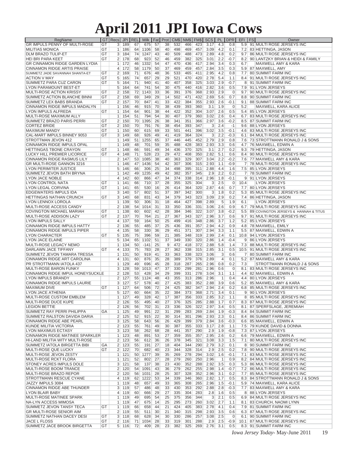## **April 2011 JPI Iowa Cows**

| RegName                                                            | GT | Recs            | <b>JPI</b>                         | <b>REL</b> | <b>Milk</b> | Fat      | Prot            | CM\$       | NM\$       | FM\$       | <b>SCS</b>   | PL           | <b>DPR</b>     | <b>EFI</b>       | <b>FS</b> | Owner                                     |
|--------------------------------------------------------------------|----|-----------------|------------------------------------|------------|-------------|----------|-----------------|------------|------------|------------|--------------|--------------|----------------|------------------|-----------|-------------------------------------------|
| <b>GR IMPULS PENNY OF MULTI-ROSE</b>                               | GT | 3 <sup>1</sup>  | 189                                | 67         | 675         | 57       | 38              | 532        | 466        | 423        | 3.17         | 4.3          | 0.8            | 5.9              |           | 91 MULTI ROSE JERSEYS INC                 |
| <b>MILITIAS MONICA</b>                                             | GT |                 | $1 \vert 186$                      | 64         | 1106        | 58       | 40              | 498        | 469        | 457        | 3.09         | 4.2          | 0.1            |                  |           | 7.2 83 HETTINGA, JASON                    |
| <b>DLM BRAZO TULIP-ET</b>                                          | GT |                 | 3 184                              | 74         | 1247        | 43       | 40              | 509        | 488        | 473        | 2.89         | 4.8          | 0.2            |                  |           | 9.7 86 MULTI ROSE JERSEYS INC             |
| <b>HEI BRI PARA KEET</b>                                           | GT |                 | $2$ 178                            | 68         | 923         | 52       | 46              | 459        | 382        | 325        | 3.01         | 2.2          | $-0.7$         | 8.2              |           | 90 LANTZKY BRIAN & HEIDI & FAMILY         |
| <b>GR CINNAMON RIDGE GARDEN LYDIA</b>                              |    |                 | 1 <sup>1</sup><br>172              | 46         | 1332        | 54       | 47              | 470        | 436        | 417        | 2.94         | 3.4          | 0.3            | 6.7              |           | MAXWELL AMY & KARA                        |
| <b>CINNAMON RIDGE ARTIS PRAISE</b>                                 |    | 4 <sup>1</sup>  | 172                                | 58         | 1179        | 50       | 37              | 469        | 459        | 457        | 2.84         | 3.5          | 0.3            |                  |           | 5.9 87 MAXWELL, AMY                       |
| SUMMETZ JADE SAVANNAH SHANTA-ET                                    | GT | $\overline{2}$  | 169                                | 71         | 676         | 48       | 36              | 533        | 465        | 411        | 2.95         | 4.2          | 0.8            | 7.7 <sub>1</sub> |           | 80 SUMMIT FARM INC                        |
| <b>ACTION V MAY</b>                                                | GT | 5               | 165                                | 74         | 657         | 29       | 29              | 521        | 470        | 420        | 2.78         | 5.4          | 1.1            | 8.4              |           | 91 MULTI ROSE JERSEYS INC                 |
| SUMMETZ PARA CUZ CARON                                             | GT | 5 <sup>1</sup>  | 164                                | 71         | 940         | 41       | 40              | 407        | 358        | 325        | 3.03         | 2.9          | $-0.7$         |                  |           | 8 91 SUMMIT FARM INC                      |
| LYON PARAMOUNT BEST-ET                                             |    |                 | 5 164                              | 64         | 741         | 54       | 30              | 475        | 440        | 416        | 2.82         | 3.6          | 0.5            | 7.9              |           | 91 LYON JERSEYS                           |
| MULTI-ROSE ACTION KRISSY                                           | GT | $\overline{2}$  | 158                                | 72         | 1143        | 33       | 36              | 391        | 376        | 368        | 2.93         | 2.9          | $\mathbf 0$    | 9.7 <sup>1</sup> |           | 90 MULTI ROSE JERSEYS INC                 |
| SUMMETZ ACTION BLANCHE BINNI                                       | GT |                 | $2$   158                          | 69         | 349         | 29       | 14              | 502        | 471        | 432        | 2.69         | 5.6          | 0.7            | 8.8              |           | 90 SUMMIT FARM INC                        |
| SUMMETZ LEX BABS BRANDA                                            | GT |                 | 2 <sup>1</sup><br>157              | 70         | 847         | 41       | 33              | 422        | 384        | 355        | 2.93         | 2.6          | $-0.1$         | 9.1              |           | 88 SUMMIT FARM INC                        |
| CINNAMON RIDGE IMPULS MADALYN                                      |    | $\mathbf{1}$    | 156                                | 46         | 915         | 70       | 38              | 439        | 393        | 360        | 3.1          | 1.9          | $\mathbf 0$    | 5.2              |           | MAXWELL, KARA ALICE                       |
| LYON IMPULS ALFREDA                                                | GT |                 | $1 \mid 154$                       | 64         | 901         | 38       | 44              | 422        | 352        | 304        | 3.07         | 2.6          | 0.5            | 5.4              |           | 85 LYON JERSEYS                           |
| MULTI-ROSE MAXIMUM ALLY                                            |    |                 | $1 \mid 154$                       | 51         | 794         | 54       | 30              | 407        | 379        | 360        | 3.02         | 2.6          | 0.4            | 6.7              |           | 83 MULTI ROSE JERSEYS INC                 |
| <b>SUMMETZ BRAZO PARIS PERRI</b>                                   | GT |                 | 2 150                              | 70         | 1395        | 26       | 38              | 341        | 351        | 366        | 2.97         | 3.6          | $-0.2$         |                  |           | 8.5 87 SUMMIT FARM INC                    |
| <b>CORTEZ BRIDE</b>                                                | GT | 2 <sup>2</sup>  | 150                                | 70         | 791         | 76       | 38              | 454        | 393        | 347        | $\mathbf{3}$ | 2.4          | $-1$           | 9.6              |           | 88 LYON JERSEYS                           |
| <b>MAXIMUM MANDY</b>                                               | GT |                 | $1$   150                          | 60         | 615         | 69       | 33              | 501        | 441        | 396        | 3.02         | 3.5          | $-0.1$         | 4.6              |           | 83 MULTI ROSE JERSEYS INC                 |
| CAL-MART IMPULS BINNEY 9053                                        | GT |                 | 3 <sup>1</sup><br>149              | 68         | 926         | 49       | 41              | 419        | 364        | 324        | 3            | 2.2          | $-0.3$         | 6.1              |           | 84 MULTI ROSE JERSEYS INC                 |
| STROTTMAN JEVON 412                                                |    |                 | $1$   149                          | 51         | 1255        | 65       | 37              | 446        | 445        | 452        | 2.79         | 2.9          | 0.8            |                  |           | 7.6 73 STROTTMANN RONALD J & SONS         |
| <b>CINNAMON RIDGE IMPULS OPAL</b><br><b>HETTINGAS TBONE CRAYON</b> | GT |                 | 1 <sup>1</sup><br>149<br>$1$   148 | 48<br>66   | 701<br>591  | 59<br>49 | 35<br>34        | 488<br>436 | 428<br>370 | 383<br>325 | 2.93<br>3.1  | 3.3<br>2.7   | 0.6<br>0.2     | 4.7 <sup>1</sup> |           | 76 MAXWELL, EDWIN A<br>79 HETTINGA, JASON |
| <b>LUCKY HILL PREMIER LICORICE</b>                                 | GT |                 | 4 148                              | 71         | 528         | 23       | 29              | 472        | 408        | 350        | 2.82         | 5.1          | 0.6            | 9.3              |           | 8.4 90 MULTI ROSE JERSEYS INC             |
| <b>CINNAMON RIDGE RASMUS LILY</b>                                  |    | $\overline{2}$  | 147                                | 53         | 1085        | 38       | 40              | 363        | 329        | 307        | 3.04         | 2.2          | $-0.2$         |                  |           | 7.6 77 MAXWELL AMY & KARA                 |
| GR MULTI-ROSE GANNON 3216                                          |    |                 |                                    | 47         | 1436        |          | 42              | 307        | 306        |            | 2.93         |              | $-0.9$         |                  |           |                                           |
|                                                                    |    | 1 <sup>1</sup>  | 146                                | 66         | 306         | 54<br>25 | 34              | 498        | 395        | 315<br>311 | 2.88         | 1.1<br>4.4   |                |                  |           | 7 78 MULTI ROSE JERSEYS INC               |
| <b>LYON PERIMITER JUSTICE</b><br>SUMMETZ JEVON BATH BRYNA          |    | 5               | 146                                | 49         | 1235        | 49       | 42              | 382        | 357        | 345        | 2.9          | 2.2          | 1.6<br>0.2     | 7.5              |           | 85 LYON JERSEYS                           |
|                                                                    |    | $\mathbf{1}$    | 142<br>142                         | 60         |             | 47       | 34              | 374        | 338        | 314        | 2.96         | 1.8          | $-0.1$         |                  |           | 7 78 SUMMIT FARM INC                      |
| <b>LYON JACE NOBLE</b><br>LYON CONTROL NATA                        | GT | 4 <sup>1</sup>  | $1 \mid 141$                       | 66         | 866<br>710  | 37       | 28              | 355        | 325        | 304        | 3            | 2.5          | $\overline{0}$ | 9<br>10.4        |           | 91 LYON JERSEYS<br><b>LYON JERSEYS</b>    |
| <b>LYON LEGAL CORVINA</b>                                          | GT |                 | 1 <sup>1</sup><br>141              | 65         | 530         | 16       | 26              | 414        | 364        | 320        | 2.87         | 4.6          | 0.7            |                  |           | 7.7 80 LYON JERSEYS                       |
| <b>EDGEWATERS IMPULS IDA</b>                                       |    |                 | 3 140                              | 57         | 802         | 51       | 37              | 397        | 342        | 300        | 3            | 1.8          | 0.2            | 5.3 <sup>°</sup> |           | 85 MULTI ROSE JERSEYS INC                 |
| <b>HETTINGAS NATHAN CRUNCH</b>                                     | GT | 3 <sup>1</sup>  | 140                                | 68         | 831         | 43       | 34              | 379        | 343        | 323        | 3.09         | 2.9          | 0.2            | 7.4              |           | 86 HETTINGA, JASON                        |
| <b>LYON LENNOX LOROLA</b>                                          |    |                 |                                    | 50         | 306         | 31       | 18              | 464        | 427        | 398        | 2.89         | 5            | 1.9            | 6.1              |           | <b>LYON JERSEYS</b>                       |
| MULTI-ROSE ACCESS CANDY                                            |    |                 | $1$   139<br>2 <sup>1</sup><br>138 | 54         | 1014        | 31       | 33              | 350        | 336        | 331        | 3.06         | 2.6          | 0.9            | 6.7              |           | 79 MULTI ROSE JERSEYS INC                 |
| <b>COVINGTON MICHAEL MARIAH</b>                                    | GT | 1 <sup>1</sup>  | 138                                | 60         | 602         | 42       | 28              | 384        | 346        | 322        | 3.07         | 3.8          | $-0.2$         | 5.5              |           | 89 COVINGTON JERSEYS & HANNAH & TITUS     |
| MULTI-ROSE ADDISON LAZY                                            | GT |                 | 2 137                              | 70         | 764         | 21       | 27              | 367        | 343        | 327        | 2.96         | 3.7          | 0.6            | 9.7              |           | 91 MULTI ROSE JERSEYS INC                 |
| <b>LYON IMPULS SALLY</b>                                           |    | $\vert 4 \vert$ | 137                                | 59         | 164         | 50       | 25              | 499        | 416        | 348        | 2.86         | 3.7          | 1.2            | 5.2              |           | 85 LYON JERSEYS                           |
| <b>CINNAMON RIDGE IMPULS HATTY</b>                                 |    | $\overline{2}$  | 136                                | 55         | 485         | 37       | 25              | 436        | 391        | 357        | 2.94         | 4.2          | 0.9            | 4.8              |           | 78 MAXWELL, EMILY                         |
| <b>CINNAMON RIDGE IMPULS PIPER</b>                                 |    | $\vert 4 \vert$ | 135                                | 58         | 330         | 36       | 29              | 451        | 371        | 307        | 2.94         | 3.3          | 1.1            |                  |           | 5.5 87 MAXWELL, EDWIN A                   |
| <b>LYON CHARACTER</b>                                              | GT | 5               | 135                                | 75         | 396         | 59       | 21              | 385        | 348        | 319        | 2.99         | 2.4          | 0.1            | 10.8             |           | 94 LYON JERSEYS                           |
| LYON JACE ELAINE                                                   |    | 5 <sup>1</sup>  | 134                                | 65         | 1102        | 51       | 37              | 349        | 330        | 320        | 2.86         | 1.4          | $-0.4$         |                  |           | 9 86 LYON JERSEYS                         |
| <b>MULTI-ROSE LEGACY NEMO</b>                                      |    |                 | $1 \mid 134$                       | 50         | $-141$      | 25       | $\overline{9}$  | 472        | 418        | 372        | 2.88         | 5.8          | 1.4            | 7.3              |           | 88 MULTI ROSE JERSEYS INC                 |
| DARLAWN JACE TIFFANY                                               | GT | $\frac{4}{ }$   | 133                                | 75         | 783         | 28       | 27              | 362        | 338        | 315        | 2.85         | 3.1          | 0.5            | 10.5             |           | 91 MULTI ROSE JERSEYS INC                 |
| SUMMETZ JEVON TAMARA TRESSA                                        |    |                 | $1 \mid 131$                       | 50         | 919         | 41       | 33              | 363        | 338        | 323        | 3.06         | 3            | 0.6            |                  |           | 7 80 SUMMIT FARM INC                      |
| CINNAMON RIDGE ART CAROLINA                                        |    | $\vert 4 \vert$ | 131                                | 60         | 876         | 35       | 28              | 389        | 379        | 376        | 2.89         | 4            | 0.1            | 5.2              |           | 87 MAXWELL AMY & KARA                     |
| PR STROTTMANN IATOLA 437                                           |    | 1 <sup>1</sup>  | 129                                | 49         | 696         | 45       | 28              | 318        | 287        | 265        | 2.96         | 0.8          | 0.2            | 7.3              |           | <b>STROTTMANN RONALD J &amp; SONS</b>     |
| <b>MULTI-ROSE BARON FUNKY</b>                                      |    | 3 <sup>1</sup>  | 128                                | 59         | 1013        | 47       | 37              | 330        | 299        | 281        | 2.96         | 0.6          | $\overline{0}$ | 8.1              |           | 83 MULTI ROSE JERSEYS INC                 |
| CINNAMON RIDGE IMPUL HONEYSUCKLE                                   |    | $\overline{2}$  | 128                                | 53         | 428         | 34       | 29              | 399        | 331        | 278        | 3.04         | 3.1          | 1.1            | 4.4              |           | 82 MAXWELL, EDWIN A                       |
| <b>LYON IMPULS BRANDY</b>                                          |    | $\overline{2}$  | 127                                | 55         | 1124        | 48       | 43              | 355        | 313        | 286        | 2.96         | $\mathbf{1}$ | 0.4            | 4.4              |           | 80 LYON JERSEYS                           |
| <b>CINNAMON RIDGE IMPULS LAURIE</b>                                |    |                 | 127<br>3 <sup>1</sup>              | 57         | 578         | 40       | 27              | 425        | 383        | 352        | 2.88         | 3.9          | 0.6            | 5.2              |           | 85 MAXWELL AMY & KARA                     |
| <b>MAXIMUM DIVE</b>                                                | GT | 1 <sup>1</sup>  | 127                                | 64         | 506         | 72       | 24              | 425        | 382        | 347        | 2.94         | 2.4          | 0.2            |                  |           | 6.8 85 MULTI ROSE JERSEYS INC             |
| <b>LYON JACE ATHENIA</b>                                           |    |                 | $5$ 127                            | 60         | 664         | 35       | 22              | 384        | 373        | 368        | 2.71         | 3.4          | 0.1            |                  |           | 9 90 LYON JERSEYS                         |
| MULTI-ROSE CUSTOM EMBLEM                                           |    |                 | $1$ 127                            | 49         | 328         | 42       | 17              | 387        | 356        |            | 333 2.85     | 3.2          | 1.1            |                  |           | 8 85 MULTI ROSE JERSEYS INC               |
| MULTI-ROSE DUCE KUPE                                               |    |                 | $2$ 126                            | 55         | 495         | 40       | 27              | 376        | 325        | 285        | 2.88         | 1.7          | 0.7            |                  |           | 8.3 87 MULTI ROSE JERSEYS INC             |
| <b>LEGION BETTIE</b>                                               |    | $\overline{2}$  | 126                                | 56         | 702         | 31       | 23              | 336        | 326        | 322        | 2.97         | 3.4          | 0.5            | 8.1              |           | 87 SPERFSLAGE, JEREMIAH                   |
| SUMMETZ RAY PERRI PHILIPPA                                         | GА |                 | $1$   125                          | 49         | 991         | 22       | 31              | 299        | 283        | 269        | 2.84         | 1.9          | $-0.3$         | 8.4              |           | 84 SUMMIT FARM INC                        |
| SUMMETZ RALSTON DAVIDA DARIA                                       |    |                 | 125<br>2 <sup>2</sup>              | 52         | 915         | 22       | 30 <sup>°</sup> | 314        | 301        | 296        | 2.93         | 2.3          | 0.1            |                  |           | 8.4 86 SUMMIT FARM INC                    |
| <b>CINNAMON RIDGE ABE PEARL</b>                                    |    |                 | $3$ 125                            | 58         | 643         | 56       | 26              | 429        | 399        | 379        | 2.84         | 3.6          | $-0.3$         | 6.6              |           | 85 MAXWELL, EDWIN A                       |
| KUNDE MILITIA VICTORIA                                             |    | 2 <sup>2</sup>  | 123                                | 55         | 761         | 49       | 30 <sup>°</sup> | 387        | 355        | 333        | 3.17         | 2.8          | 1.1            |                  |           | 7.5 79 KUNDE DAVID & DONNA                |
| <b>LYON MAXIMUS ECTASY</b>                                         |    | 3 <sup>1</sup>  | 123                                | 58         | 262         | 68       | 28              | 441        | 357        | 290        | 2.9          | 1.9          | $-0.8$         |                  |           | 7.3 87 LYON JERSEYS                       |
| <b>CINNAMON RIDGE MATINEE SPARKLER</b>                             |    |                 | $1$   123                          | 48         | 891         | 53       | 27              | 359        | 355        | 357        | 2.95         | 2.6          | 0.2            |                  |           | 6.6 79 MAXWELL, EDWIN A                   |
| HI-LAND MILITIA WITY MULTI-ROSE                                    |    | $\overline{2}$  | 123                                | 56         | 612         | 36       | 26              | 378        | 345        | 321        | 3.08         | 3.3          | 1.5            |                  |           | 7.1 80 MULTI ROSE JERSEYS INC             |
| SUMMETZ IATOLA BIRGETTA BIBI                                       | GА |                 | $2$ 123                            | 55         | 191         | 27       | 18              | 404        | 344        | 290        | 2.79         | 3.2          | 0.1            |                  |           | 8 90 SUMMIT FARM INC                      |
| MULTI-ROSE QUE LUCKY                                               | GT |                 | $2$ 122                            | 70         | 682         | 40       | 23              | 344        | 328        | 314        | 2.9          | 2.5          | 0.2            |                  |           | 7.8 90 MULTI ROSE JERSEYS INC             |
| MULTI-ROSE JEVON ZESTY                                             |    | 1 <sup>1</sup>  | 121                                | 50         | 1277        | 39       | 35              | 269        | 278        | 294        | 3.02         | 1.6          | $-0.1$         | 7.1              |           | 83 MULTI ROSE JERSEYS INC                 |
| MULTI-ROSE RCKT FLORA                                              |    |                 | $1$ 121                            | 52         | 802         | 27       | 28              | 279        | 260        | 250        | 2.96         | $\mathbf{1}$ | 0.9            | 8.2              |           | 84 MULTI ROSE JERSEYS INC                 |
| STONEY ACRES IMPULS DOLE                                           |    |                 | 3 121                              | 58         | 137         | 38       | 23              | 430        | 352        | 288        | 2.92         | 3.5          | 0.3            |                  |           | 5.3 86 MULTI ROSE JERSEYS INC             |
| MULTI-ROSE BOOM TRANCE                                             |    |                 | 120<br>2 <sup>2</sup>              | 54         | 1091        | 43       | 36              | 279        | 262        | 255        | 2.98         | 1.4          | $-0.7$         |                  |           | 7.2 86 MULTI ROSE JERSEYS INC             |
| MULTI-ROSE BRAZO REPOR                                             |    | $\overline{2}$  | 120                                | 56         | 1031        | 28       | 25              | 307        | 328        | 352        | 2.96         | 3.1          | 0.2            |                  |           | 7.7 85 MULTI ROSE JERSEYS INC             |
| STROTTMANN RESCUE CYANE                                            |    | 4               | 119                                | 62         | 1222        | 53       | 34              | 339        | 346        | 360        | 2.82         | 1.7          | 0.5            |                  |           | 8.3 84 STROTTMANN RONALD J & SONS         |
| JAZZY IMPULS 3084                                                  |    | 1 <sup>1</sup>  | 119                                | 48         | 657         | 49       | 33              | 365        | 308        | 265        | 2.96         | 1.5          | $-0.1$         |                  |           | 5.9 74 MAXWELL, KARA ALICE                |
| CINNAMON RIDGE ABE THUNDER                                         |    |                 | 3 119                              | 57         | 486         | 48       | 33 <sup>°</sup> | 430        | 353        | 292        | 2.88         | 2.8          | $-0.3$         |                  |           | 7.7 83 MAXWELL AMY & KARA                 |
| <b>LYON BLAIR BABY</b>                                             |    | $\vert 4 \vert$ | 119                                | 60         | 666         | 29       | 27              | 335        | 304        | 283        | 2.8          | 1.6          | 0.5            |                  |           | 8 88 LYON JERSEYS                         |
| MULTI-ROSE MATINEE SPARK                                           |    |                 | $1$   119                          | 49         | 695         | 54       | 25              | 375        | 356        | 344        | $\mathbf{3}$ | 2.1          | 0.5            | 6.9              |           | 84 MULTI ROSE JERSEYS INC                 |
| <b>NA-LYN ACCESS MIMOSA</b>                                        |    |                 | $1$   119                          | 47         | 675         | 14       | 25              | 295        | 273        | 260        | 3.02         | 2.7          | 1.1            |                  |           | 8.1 83 CHURCH, NAOMI LYNN                 |
| SUMMETZ JEVON TANSY TECA                                           | GT |                 | $1$   119                          | 66         | 658         | 44       | 21              | 424        | 405        | 383        | 2.78         | 4.1          | 0.4            |                  |           | 7.9 81 SUMMIT FARM INC                    |
| <b>GR MULTI-ROSE SENIOR AIM</b>                                    |    |                 | $2$   119                          | 55         | 511         | 30       | 21              | 340        | 315        | 298        | 2.93         | 3.5          | 0.6            |                  |           | 6.3 87 MULTI ROSE JERSEYS INC             |
| SUMMETZ NATHAN DACEY DESI                                          | GT |                 | 3 118                              | 68         | 628         | 34       | 30              | 330        | 286        | 257        | 3.08         | 2.5          | $\mathbf 0$    | 6.1              |           | 90 SUMMIT FARM INC                        |
| JACE L FLOSS                                                       | GT |                 | $2$   116                          | 71         | 1034        | 28       | 33 <sup>°</sup> | 319        | 301        | 288        | 2.9          | 2.5          | $-0.9$         |                  |           | 10.1 87 MULTI ROSE JERSEYS INC            |
| SUMMETZ JACE BROOK BIRGETTA                                        | GT |                 | $5$ 116                            | 72         | 409         | 28       | 23              | 382        | 325        | 269        | 2.76         | 3.1          | 0.5            |                  |           | 8.3 91 SUMMIT FARM INC                    |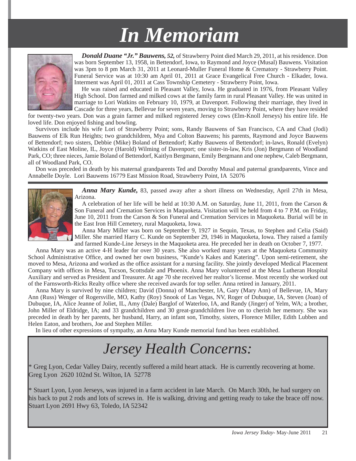## *In Memoriam n Memoriam*



*Donald Duane "Jr." Bauwens, 52,* of Strawberry Point died March 29, 2011, at his residence. Don was born September 13, 1958, in Bettendorf, Iowa, to Raymond and Joyce (Musal) Bauwens. Visitation was 3pm to 8 pm March 31, 2011 at Leonard-Muller Funeral Home & Crematory - Strawberry Point. Funeral Service was at 10:30 am April 01, 2011 at Grace Evangelical Free Church - Elkader, Iowa. Interment was April 01, 2011 at Cass Township Cemetery - Strawberry Point, Iowa.

He was raised and educated in Pleasant Valley, Iowa. He graduated in 1976, from Pleasant Valley High School. Don farmed and milked cows at the family farm in rural Pleasant Valley. He was united in marriage to Lori Watkins on February 10, 1979, at Davenport. Following their marriage, they lived in Cascade for three years, Bellevue for seven years, moving to Strawberry Point, where they have resided

for twenty-two years. Don was a grain farmer and milked registered Jersey cows (Elm-Knoll Jerseys) his entire life. He loved life. Don enjoyed fishing and bowling.

Survivors include his wife Lori of Strawberry Point; sons, Randy Bauwens of San Francisco, CA and Chad (Jodi) Bauwens of Elk Run Heights; two grandchildren, Mya and Colton Bauwens; his parents, Raymond and Joyce Bauwens of Bettendorf; two sisters, Debbie (Mike) Boland of Bettendorf; Kathy Bauwens of Bettendorf; in-laws, Ronald (Evelyn) Watkins of East Moline, IL, Joyce (Harold) Wilming of Davenport; one sister-in-law, Kris (Jon) Bergmann of Woodland Park, CO; three nieces, Jamie Boland of Bettendorf, Kaitlyn Bergmann, Emily Bergmann and one nephew, Caleb Bergmann, all of Woodland Park, CO.

Don was preceded in death by his maternal grandparents Ted and Dorothy Musal and paternal grandparents, Vince and Annabelle Doyle. Lori Bauwens 16779 East Mission Road, Strawberry Point, IA 52076



*Anna Mary Kunde,* 83, passed away after a short illness on Wednesday, April 27th in Mesa, Arizona.

A celebration of her life will be held at 10:30 A.M. on Saturday, June 11, 2011, from the Carson & Son Funeral and Cremation Services in Maquoketa. Visitation will be held from 4 to 7 P.M. on Friday, June 10, 2011 from the Carson & Son Funeral and Cremation Services in Maquoketa. Burial will be in the East Iron Hill Cemetery, rural Maquoketa, Iowa.

Anna Mary Miller was born on September 9, 1927 in Sequin, Texas, to Stephen and Celia (Said) Miller. She married Harry C. Kunde on September 29, 1946 in Maquoketa, Iowa. They raised a family and farmed Kunde-Line Jerseys in the Maquoketa area. He preceded her in death on October 7, 1977.

Anna Mary was an active 4-H leader for over 30 years. She also worked many years at the Maquoketa Community School Administrative Office, and owned her own business, "Kunde's Kakes and Katering". Upon semi-retirement, she moved to Mesa, Arizona and worked as the office assistant for a nursing facility. She jointly developed Medical Placement Company with offices in Mesa, Tucson, Scottsdale and Phoenix. Anna Mary volunteered at the Mesa Lutheran Hospital Auxiliary and served as President and Treasurer. At age 70 she received her realtor's license. Most recently she worked out of the Farnsworth-Ricks Realty office where she received awards for top seller. Anna retired in January, 2011.

Anna Mary is survived by nine children; David (Donna) of Manchester, IA, Gary (Mary Ann) of Bellevue, IA, Mary Ann (Russ) Wenger of Rogersville, MO, Kathy (Roy) Snook of Las Vegas, NV, Roger of Dubuque, IA, Steven (Joan) of Dubuque, IA, Alice Jeanne of Joliet, IL, Amy (Dale) Barglof of Waterloo, IA, and Randy (Jinger) of Yelm, WA; a brother, John Miller of Eldridge, IA; and 33 grandchildren and 30 great-grandchildren live on to cherish her memory. She was preceded in death by her parents, her husband, Harry, an infant son, Timothy, sisters, Florence Miller, Edith Lubben and Helen Eaton, and brothers, Joe and Stephen Miller.

In lieu of other expressions of sympathy, an Anna Mary Kunde memorial fund has been established.

## *Jersey Health Concerns:*

\* Greg Lyon, Cedar Valley Dairy, recently suffered a mild heart attack. He is currently recovering at home. Greg Lyon 2620 102nd St. Wilton, IA 52778

\* Stuart Lyon, Lyon Jerseys, was injured in a farm accident in late March. On March 30th, he had surgery on his back to put 2 rods and lots of screws in. He is walking, driving and getting ready to take the brace off now. Stuart Lyon 2691 Hwy 63, Toledo, IA 52342